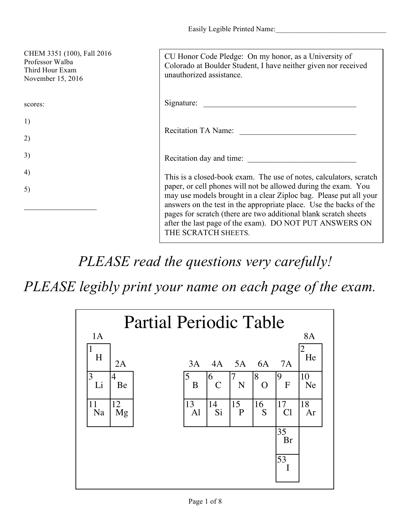| CHEM 3351 (100), Fall 2016<br>Professor Walba<br>Third Hour Exam<br>November 15, 2016 | CU Honor Code Pledge: On my honor, as a University of<br>Colorado at Boulder Student, I have neither given nor received<br>unauthorized assistance.                                                                                                                                                                                                             |
|---------------------------------------------------------------------------------------|-----------------------------------------------------------------------------------------------------------------------------------------------------------------------------------------------------------------------------------------------------------------------------------------------------------------------------------------------------------------|
| scores:                                                                               | Signature:                                                                                                                                                                                                                                                                                                                                                      |
| 1)                                                                                    |                                                                                                                                                                                                                                                                                                                                                                 |
| 2)                                                                                    | Recitation TA Name:                                                                                                                                                                                                                                                                                                                                             |
| 3)                                                                                    | Recitation day and time:                                                                                                                                                                                                                                                                                                                                        |
| 4)                                                                                    | This is a closed-book exam. The use of notes, calculators, scratch                                                                                                                                                                                                                                                                                              |
| 5)                                                                                    | paper, or cell phones will not be allowed during the exam. You<br>may use models brought in a clear Ziploc bag. Please put all your<br>answers on the test in the appropriate place. Use the backs of the<br>pages for scratch (there are two additional blank scratch sheets<br>after the last page of the exam). DO NOT PUT ANSWERS ON<br>THE SCRATCH SHEETS. |

*PLEASE read the questions very carefully!*

*PLEASE legibly print your name on each page of the exam.*

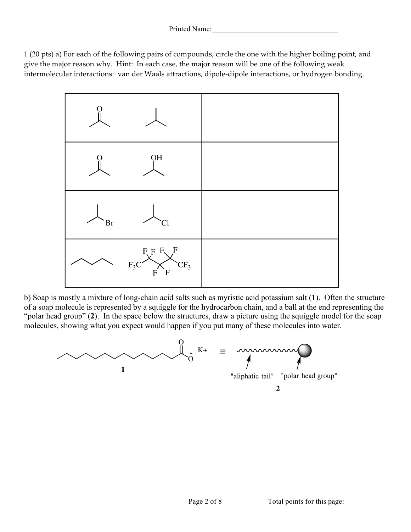1 (20 pts) a) For each of the following pairs of compounds, circle the one with the higher boiling point, and give the major reason why. Hint: In each case, the major reason will be one of the following weak intermolecular interactions: van der Waals attractions, dipole-dipole interactions, or hydrogen bonding.



b) Soap is mostly a mixture of long-chain acid salts such as myristic acid potassium salt (**1**). Often the structure of a soap molecule is represented by a squiggle for the hydrocarbon chain, and a ball at the end representing the "polar head group" (**2**). In the space below the structures, draw a picture using the squiggle model for the soap molecules, showing what you expect would happen if you put many of these molecules into water.



 $\overline{2}$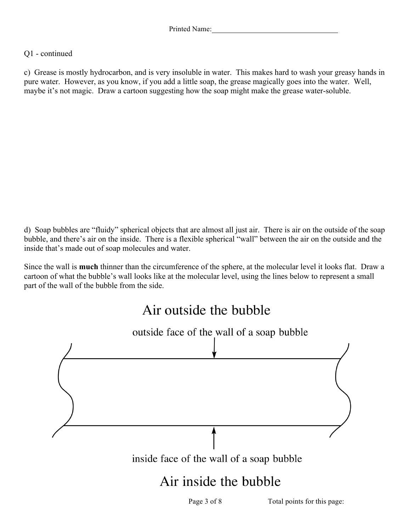## Q1 - continued

c) Grease is mostly hydrocarbon, and is very insoluble in water. This makes hard to wash your greasy hands in pure water. However, as you know, if you add a little soap, the grease magically goes into the water. Well, maybe it's not magic. Draw a cartoon suggesting how the soap might make the grease water-soluble.

d) Soap bubbles are "fluidy" spherical objects that are almost all just air. There is air on the outside of the soap bubble, and there's air on the inside. There is a flexible spherical "wall" between the air on the outside and the inside that's made out of soap molecules and water.

Since the wall is **much** thinner than the circumference of the sphere, at the molecular level it looks flat. Draw a cartoon of what the bubble's wall looks like at the molecular level, using the lines below to represent a small part of the wall of the bubble from the side.

## Air outside the bubble



Page 3 of 8 Total points for this page: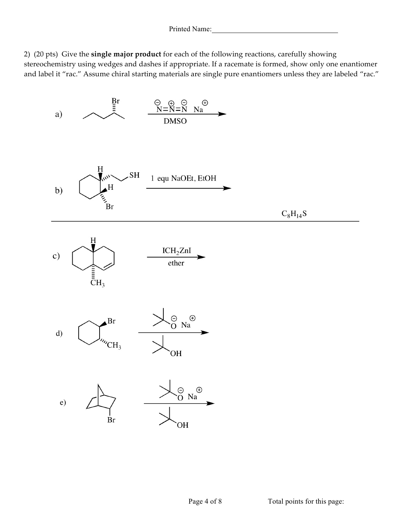2) (20 pts) Give the **single major product** for each of the following reactions, carefully showing stereochemistry using wedges and dashes if appropriate. If a racemate is formed, show only one enantiomer and label it "rac." Assume chiral starting materials are single pure enantiomers unless they are labeled "rac."

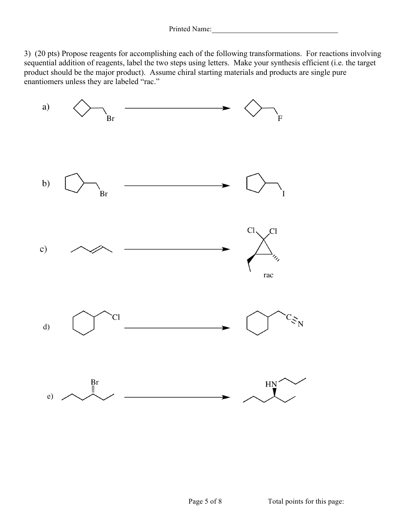3) (20 pts) Propose reagents for accomplishing each of the following transformations. For reactions involving sequential addition of reagents, label the two steps using letters. Make your synthesis efficient (i.e. the target product should be the major product). Assume chiral starting materials and products are single pure enantiomers unless they are labeled "rac."

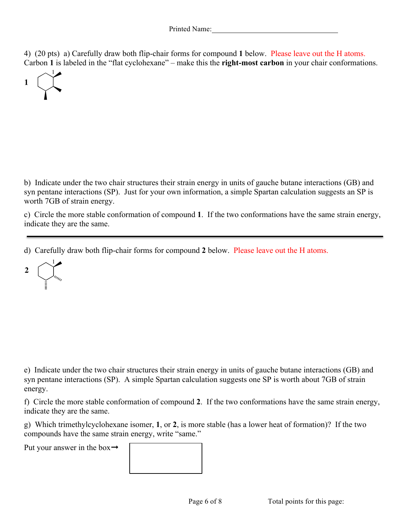4) (20 pts) a) Carefully draw both flip-chair forms for compound **1** below. Please leave out the H atoms. Carbon **1** is labeled in the "flat cyclohexane" – make this the **right-most carbon** in your chair conformations.



b) Indicate under the two chair structures their strain energy in units of gauche butane interactions (GB) and syn pentane interactions (SP). Just for your own information, a simple Spartan calculation suggests an SP is worth 7GB of strain energy.

c) Circle the more stable conformation of compound **1**. If the two conformations have the same strain energy, indicate they are the same.

d) Carefully draw both flip-chair forms for compound **2** below. Please leave out the H atoms.

 $\overline{2}$ 

e) Indicate under the two chair structures their strain energy in units of gauche butane interactions (GB) and syn pentane interactions (SP). A simple Spartan calculation suggests one SP is worth about 7GB of strain energy.

f) Circle the more stable conformation of compound **2**. If the two conformations have the same strain energy, indicate they are the same.

g) Which trimethylcyclohexane isomer, **1**, or **2**, is more stable (has a lower heat of formation)? If the two compounds have the same strain energy, write "same."

Put your answer in the box $\rightarrow$ 

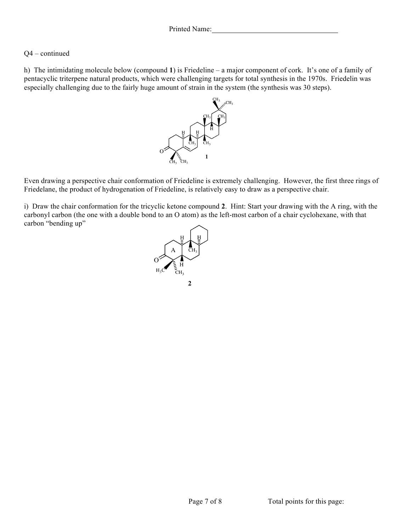## Q4 – continued

h) The intimidating molecule below (compound **1**) is Friedeline – a major component of cork. It's one of a family of pentacyclic triterpene natural products, which were challenging targets for total synthesis in the 1970s. Friedelin was especially challenging due to the fairly huge amount of strain in the system (the synthesis was 30 steps).



Even drawing a perspective chair conformation of Friedeline is extremely challenging. However, the first three rings of Friedelane, the product of hydrogenation of Friedeline, is relatively easy to draw as a perspective chair.

i) Draw the chair conformation for the tricyclic ketone compound **2**. Hint: Start your drawing with the A ring, with the carbonyl carbon (the one with a double bond to an O atom) as the left-most carbon of a chair cyclohexane, with that carbon "bending up"